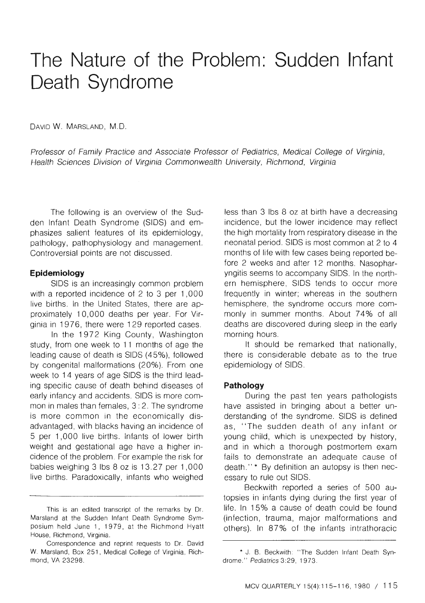# **The Nature of the Problem: Sudden Infant Death Syndrome**

DAVID W. MARSLAND, M.D.

Professor of Family Practice and Associate Professor of Pediatrics, Medical College of Virginia, Health Sciences Division of Virginia Commonwealth University, Richmond, Virginia

The following is an overview of the Sudden Infant Death Syndrome (SIDS) and emphasizes salient features of its epidemiology, pathology, pathophysiology and management. Controversial points are not discussed.

#### **Epidemiology**

SIDS is an increasingly common problem with a reported incidence of 2 to 3 per 1,000 live births. In the United States, there are approximately 1 0,000 deaths per year. For Virginia in 1976, there were 129 reported cases.

In the 1972 King County, Washington study, from one week to 11 months of age the leading cause of death is SIDS (45%), followed by congenital malformations (20%). From one week to 14 years of age SIDS is the third leading specific cause of death behind diseases of early infancy and accidents. SIDS is more common in males than females, 3: 2. The syndrome is more common in the economically disadvantaged, with blacks having an incidence of 5 per 1 ,000 live births. Infants of lower birth weight and gestational age have a higher incidence of the problem. For example the risk for babies weighing 3 lbs  $8$  oz is 13.27 per 1,000 live births. Paradoxically, infants who weighed less than 3 lbs 8 oz at birth have a decreasing incidence, but the lower incidence may reflect the high mortality from respiratory disease in the neonatal period. SIDS is most common at 2 to 4 months of life with few cases being reported before 2 weeks and after 12 months. Nasopharyngitis seems to accompany SIDS. In the northern hemisphere, SIDS tends to occur more frequently in winter; whereas in the southern hemisphere, the syndrome occurs more commonly in summer months. About 7 4% of all deaths are discovered during sleep in the early morning hours.

It should be remarked that nationally, there is considerable debate as to the true epidemiology of SIDS.

#### **Pathology**

During the past ten years pathologists have assisted in bringing about a better understanding of the syndrome. SIDS is defined as, "The sudden death of any infant or young child, which is unexpected by history, and in which a thorough postmortem exam fails to demonstrate an adequate cause of death.''\* By definition an autopsy is then necessary to rule out SIDS.

Beckwith reported a series of 500 autopsies in infants dying during the first year of life. In 15% a cause of death could be found (infection, trauma, major malformations and others). In 87% of the infants intrathoracic

This is an edited transcript of the remarks by Dr. Marsland at the Sudden Infant Death Syndrome Symposium held June 1, 1979, at the Richmond Hyatt House, Richmond, Virginia.

Correspondence and reprint requests to Dr. David W. Marsland, Box 251, Medical College of Virginia, Richmond, VA 23298.

<sup>•</sup> J. B. Beckwith: " The Sudden Infant Death Syndrome." Pediatrics 3:29, 1973.